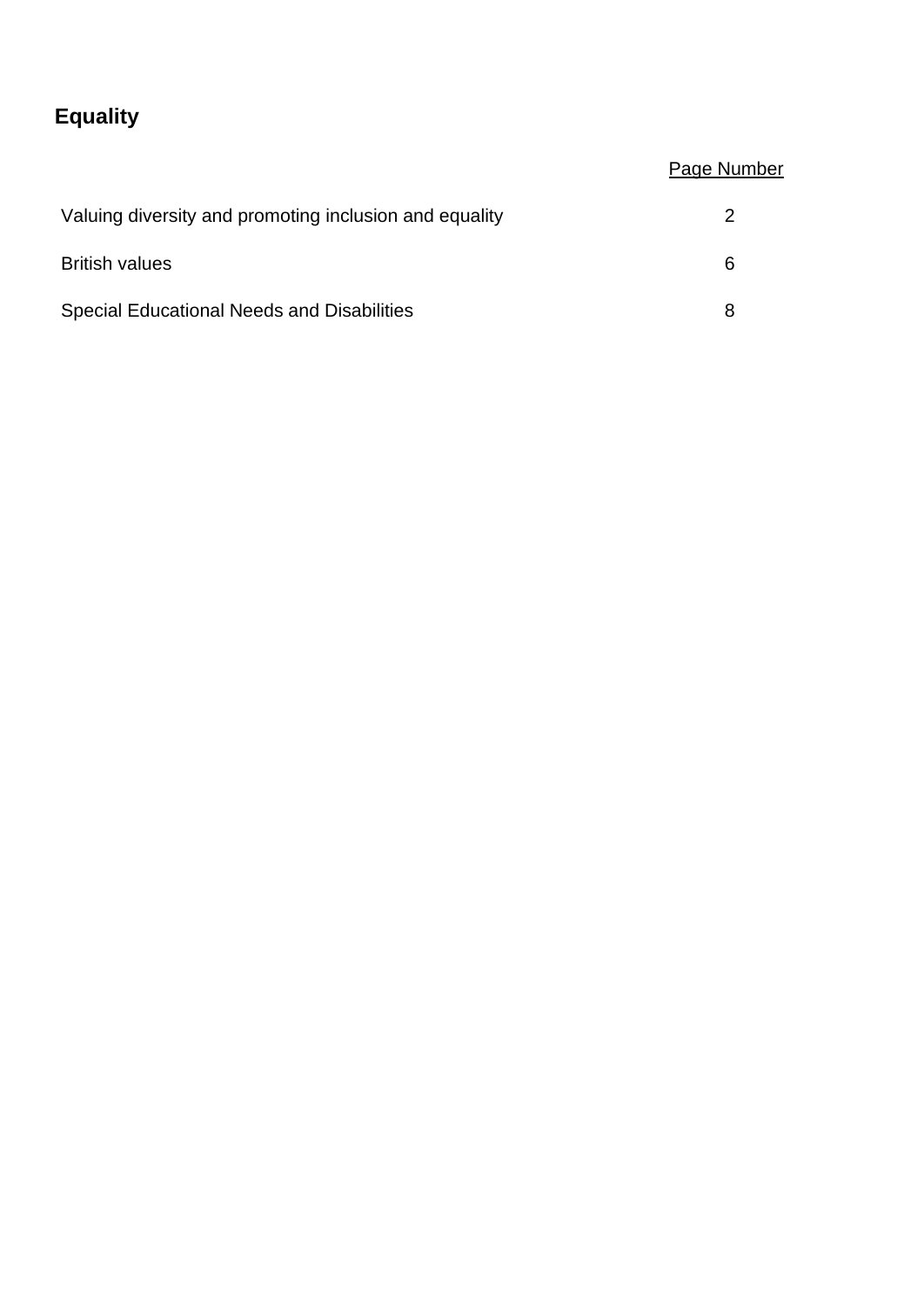# **Equality**

## Page Number

| Valuing diversity and promoting inclusion and equality |   |
|--------------------------------------------------------|---|
| <b>British values</b>                                  | 6 |
| <b>Special Educational Needs and Disabilities</b>      | я |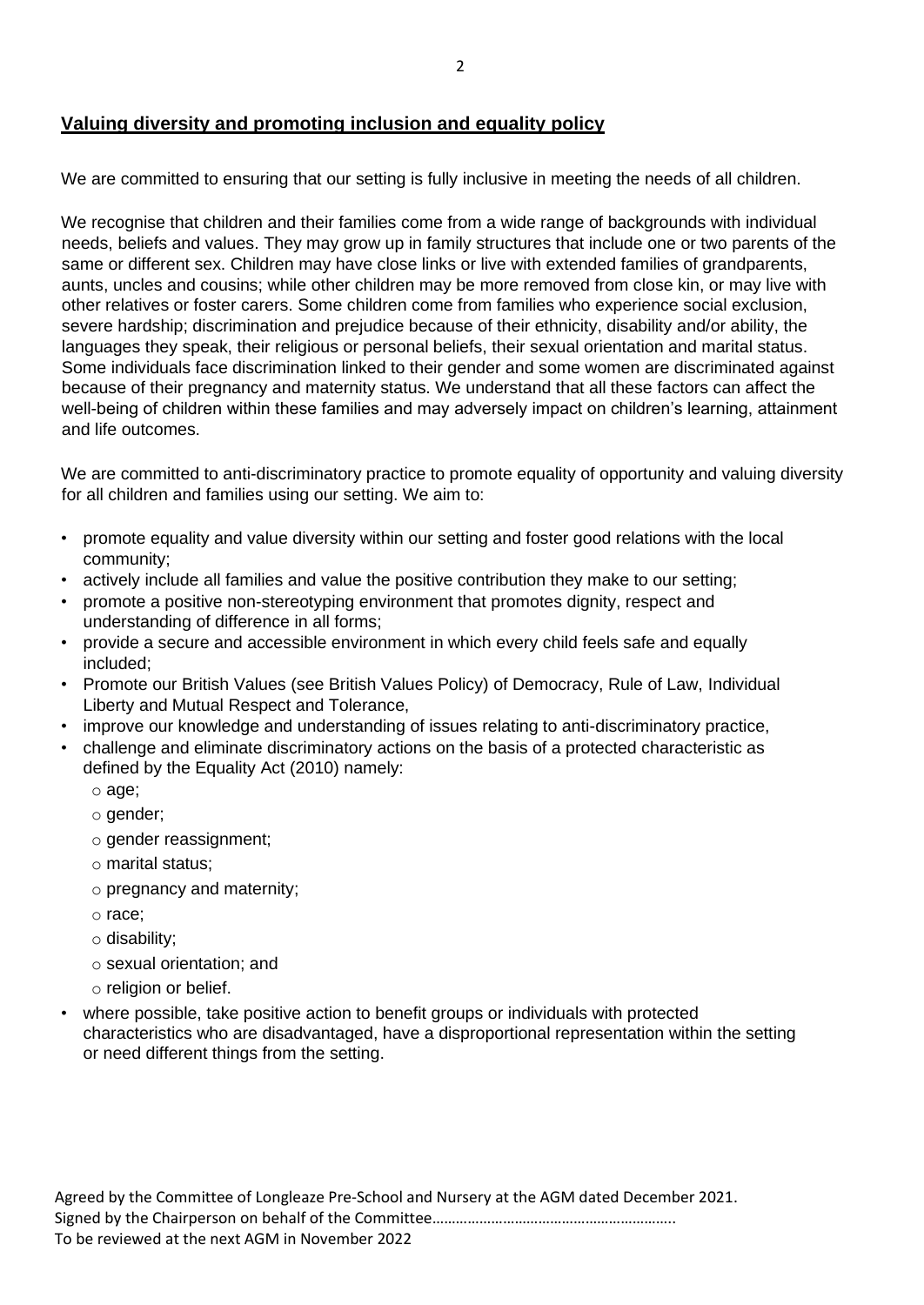#### **Valuing diversity and promoting inclusion and equality policy**

We are committed to ensuring that our setting is fully inclusive in meeting the needs of all children.

We recognise that children and their families come from a wide range of backgrounds with individual needs, beliefs and values. They may grow up in family structures that include one or two parents of the same or different sex. Children may have close links or live with extended families of grandparents, aunts, uncles and cousins; while other children may be more removed from close kin, or may live with other relatives or foster carers. Some children come from families who experience social exclusion, severe hardship; discrimination and prejudice because of their ethnicity, disability and/or ability, the languages they speak, their religious or personal beliefs, their sexual orientation and marital status. Some individuals face discrimination linked to their gender and some women are discriminated against because of their pregnancy and maternity status. We understand that all these factors can affect the well-being of children within these families and may adversely impact on children's learning, attainment and life outcomes.

We are committed to anti-discriminatory practice to promote equality of opportunity and valuing diversity for all children and families using our setting. We aim to:

- promote equality and value diversity within our setting and foster good relations with the local community;
- actively include all families and value the positive contribution they make to our setting;
- promote a positive non-stereotyping environment that promotes dignity, respect and understanding of difference in all forms;
- provide a secure and accessible environment in which every child feels safe and equally included;
- Promote our British Values (see British Values Policy) of Democracy, Rule of Law, Individual Liberty and Mutual Respect and Tolerance,
- improve our knowledge and understanding of issues relating to anti-discriminatory practice,
- challenge and eliminate discriminatory actions on the basis of a protected characteristic as defined by the Equality Act (2010) namely:
	- o age;
	- o gender;
	- o gender reassignment;
	- o marital status;
	- o pregnancy and maternity;
	- o race;
	- o disability;
	- o sexual orientation; and
	- o religion or belief.
- where possible, take positive action to benefit groups or individuals with protected characteristics who are disadvantaged, have a disproportional representation within the setting or need different things from the setting.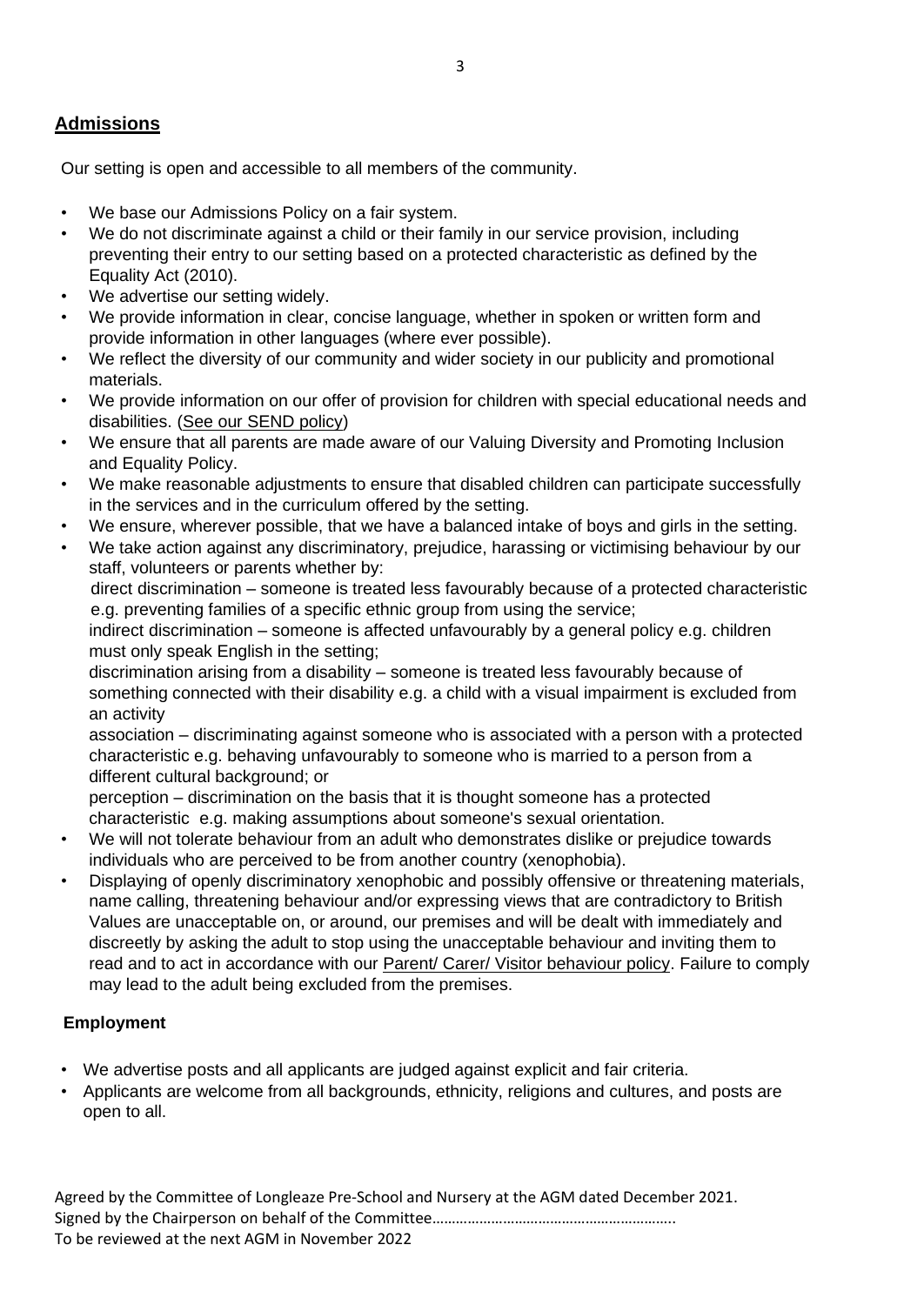## **Admissions**

Our setting is open and accessible to all members of the community.

- We base our Admissions Policy on a fair system.
- We do not discriminate against a child or their family in our service provision, including preventing their entry to our setting based on a protected characteristic as defined by the Equality Act (2010).
- We advertise our setting widely.
- We provide information in clear, concise language, whether in spoken or written form and provide information in other languages (where ever possible).
- We reflect the diversity of our community and wider society in our publicity and promotional materials.
- We provide information on our offer of provision for children with special educational needs and disabilities. (See our SEND policy)
- We ensure that all parents are made aware of our Valuing Diversity and Promoting Inclusion and Equality Policy.
- We make reasonable adjustments to ensure that disabled children can participate successfully in the services and in the curriculum offered by the setting.
- We ensure, wherever possible, that we have a balanced intake of boys and girls in the setting.
- We take action against any discriminatory, prejudice, harassing or victimising behaviour by our staff, volunteers or parents whether by:

direct discrimination – someone is treated less favourably because of a protected characteristic e.g. preventing families of a specific ethnic group from using the service;

indirect discrimination – someone is affected unfavourably by a general policy e.g. children must only speak English in the setting;

discrimination arising from a disability – someone is treated less favourably because of something connected with their disability e.g. a child with a visual impairment is excluded from an activity

association – discriminating against someone who is associated with a person with a protected characteristic e.g. behaving unfavourably to someone who is married to a person from a different cultural background; or

perception – discrimination on the basis that it is thought someone has a protected characteristic e.g. making assumptions about someone's sexual orientation.

- We will not tolerate behaviour from an adult who demonstrates dislike or prejudice towards individuals who are perceived to be from another country (xenophobia).
- Displaying of openly discriminatory xenophobic and possibly offensive or threatening materials, name calling, threatening behaviour and/or expressing views that are contradictory to British Values are unacceptable on, or around, our premises and will be dealt with immediately and discreetly by asking the adult to stop using the unacceptable behaviour and inviting them to read and to act in accordance with our **Parent/ Carer/ Visitor behaviour policy**. Failure to comply may lead to the adult being excluded from the premises.

#### **Employment**

- We advertise posts and all applicants are judged against explicit and fair criteria.
- Applicants are welcome from all backgrounds, ethnicity, religions and cultures, and posts are open to all.

Agreed by the Committee of Longleaze Pre-School and Nursery at the AGM dated December 2021. Signed by the Chairperson on behalf of the Committee…………………………………………………….. To be reviewed at the next AGM in November 2022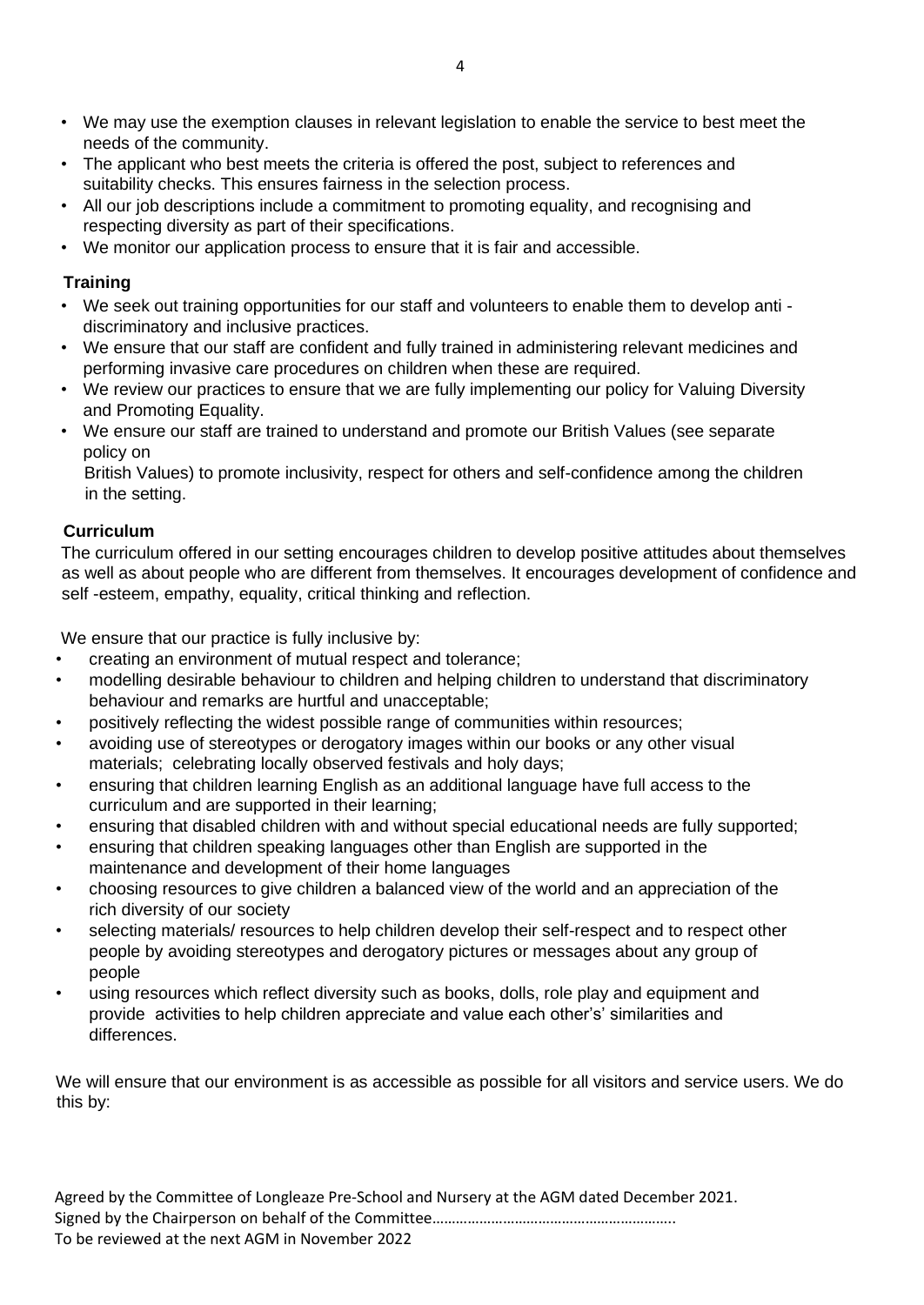- We may use the exemption clauses in relevant legislation to enable the service to best meet the needs of the community.
- The applicant who best meets the criteria is offered the post, subject to references and suitability checks. This ensures fairness in the selection process.
- All our job descriptions include a commitment to promoting equality, and recognising and respecting diversity as part of their specifications.
- We monitor our application process to ensure that it is fair and accessible.

#### **Training**

- We seek out training opportunities for our staff and volunteers to enable them to develop anti discriminatory and inclusive practices.
- We ensure that our staff are confident and fully trained in administering relevant medicines and performing invasive care procedures on children when these are required.
- We review our practices to ensure that we are fully implementing our policy for Valuing Diversity and Promoting Equality.
- We ensure our staff are trained to understand and promote our British Values (see separate policy on

British Values) to promote inclusivity, respect for others and self-confidence among the children in the setting.

#### **Curriculum**

The curriculum offered in our setting encourages children to develop positive attitudes about themselves as well as about people who are different from themselves. It encourages development of confidence and self -esteem, empathy, equality, critical thinking and reflection.

We ensure that our practice is fully inclusive by:

- creating an environment of mutual respect and tolerance;
- modelling desirable behaviour to children and helping children to understand that discriminatory behaviour and remarks are hurtful and unacceptable;
- positively reflecting the widest possible range of communities within resources;
- avoiding use of stereotypes or derogatory images within our books or any other visual materials; celebrating locally observed festivals and holy days;
- ensuring that children learning English as an additional language have full access to the curriculum and are supported in their learning;
- ensuring that disabled children with and without special educational needs are fully supported;
- ensuring that children speaking languages other than English are supported in the maintenance and development of their home languages
- choosing resources to give children a balanced view of the world and an appreciation of the rich diversity of our society
- selecting materials/ resources to help children develop their self-respect and to respect other people by avoiding stereotypes and derogatory pictures or messages about any group of people
- using resources which reflect diversity such as books, dolls, role play and equipment and provide activities to help children appreciate and value each other's' similarities and differences.

We will ensure that our environment is as accessible as possible for all visitors and service users. We do this by: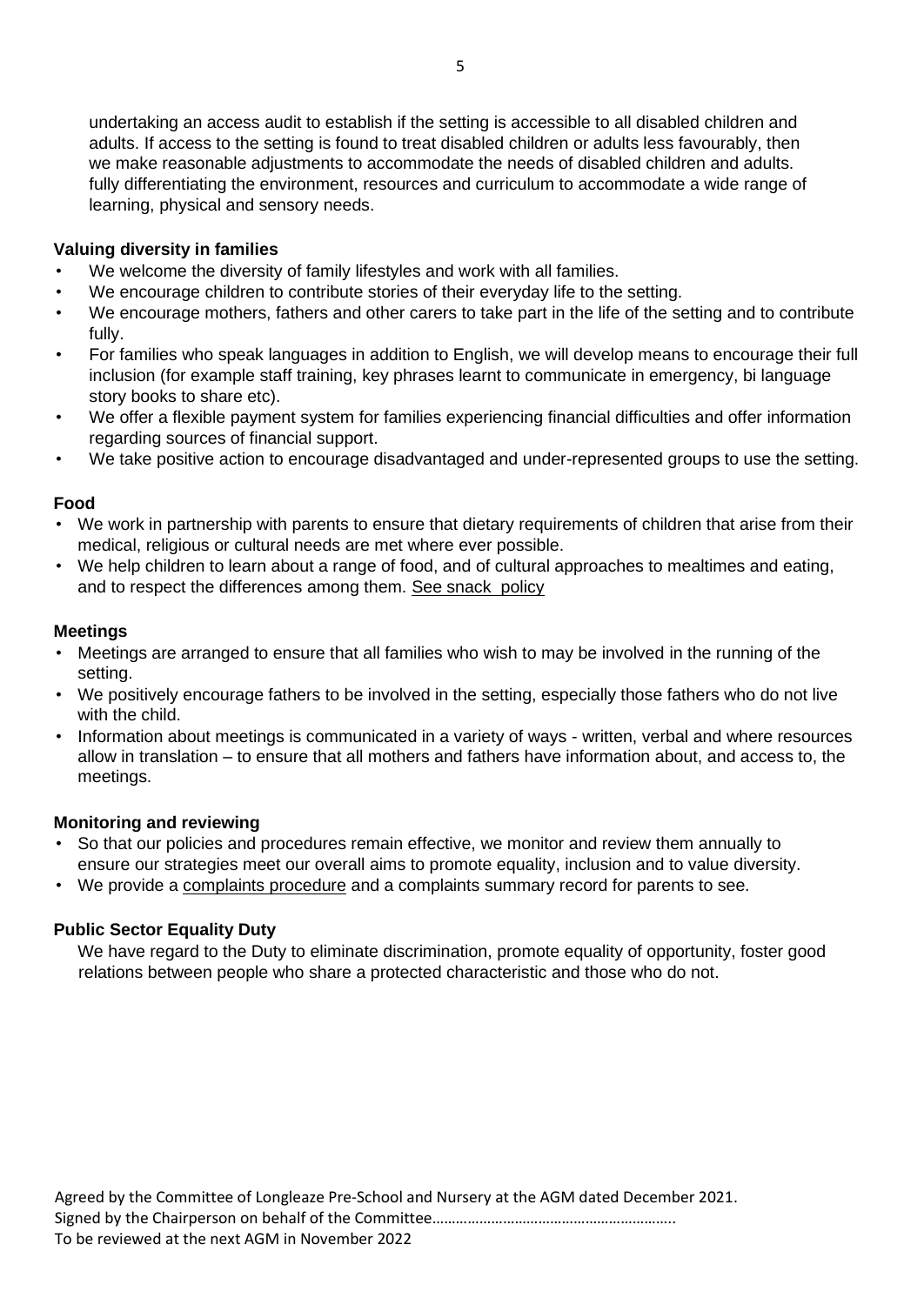undertaking an access audit to establish if the setting is accessible to all disabled children and adults. If access to the setting is found to treat disabled children or adults less favourably, then we make reasonable adjustments to accommodate the needs of disabled children and adults. fully differentiating the environment, resources and curriculum to accommodate a wide range of learning, physical and sensory needs.

#### **Valuing diversity in families**

- We welcome the diversity of family lifestyles and work with all families.
- We encourage children to contribute stories of their everyday life to the setting.
- We encourage mothers, fathers and other carers to take part in the life of the setting and to contribute fully.
- For families who speak languages in addition to English, we will develop means to encourage their full inclusion (for example staff training, key phrases learnt to communicate in emergency, bi language story books to share etc).
- We offer a flexible payment system for families experiencing financial difficulties and offer information regarding sources of financial support.
- We take positive action to encourage disadvantaged and under-represented groups to use the setting.

#### **Food**

- We work in partnership with parents to ensure that dietary requirements of children that arise from their medical, religious or cultural needs are met where ever possible.
- We help children to learn about a range of food, and of cultural approaches to mealtimes and eating, and to respect the differences among them. See snack policy

#### **Meetings**

- Meetings are arranged to ensure that all families who wish to may be involved in the running of the setting.
- We positively encourage fathers to be involved in the setting, especially those fathers who do not live with the child.
- Information about meetings is communicated in a variety of ways written, verbal and where resources allow in translation – to ensure that all mothers and fathers have information about, and access to, the meetings.

#### **Monitoring and reviewing**

- So that our policies and procedures remain effective, we monitor and review them annually to ensure our strategies meet our overall aims to promote equality, inclusion and to value diversity.
- We provide a complaints procedure and a complaints summary record for parents to see.

#### **Public Sector Equality Duty**

We have regard to the Duty to eliminate discrimination, promote equality of opportunity, foster good relations between people who share a protected characteristic and those who do not.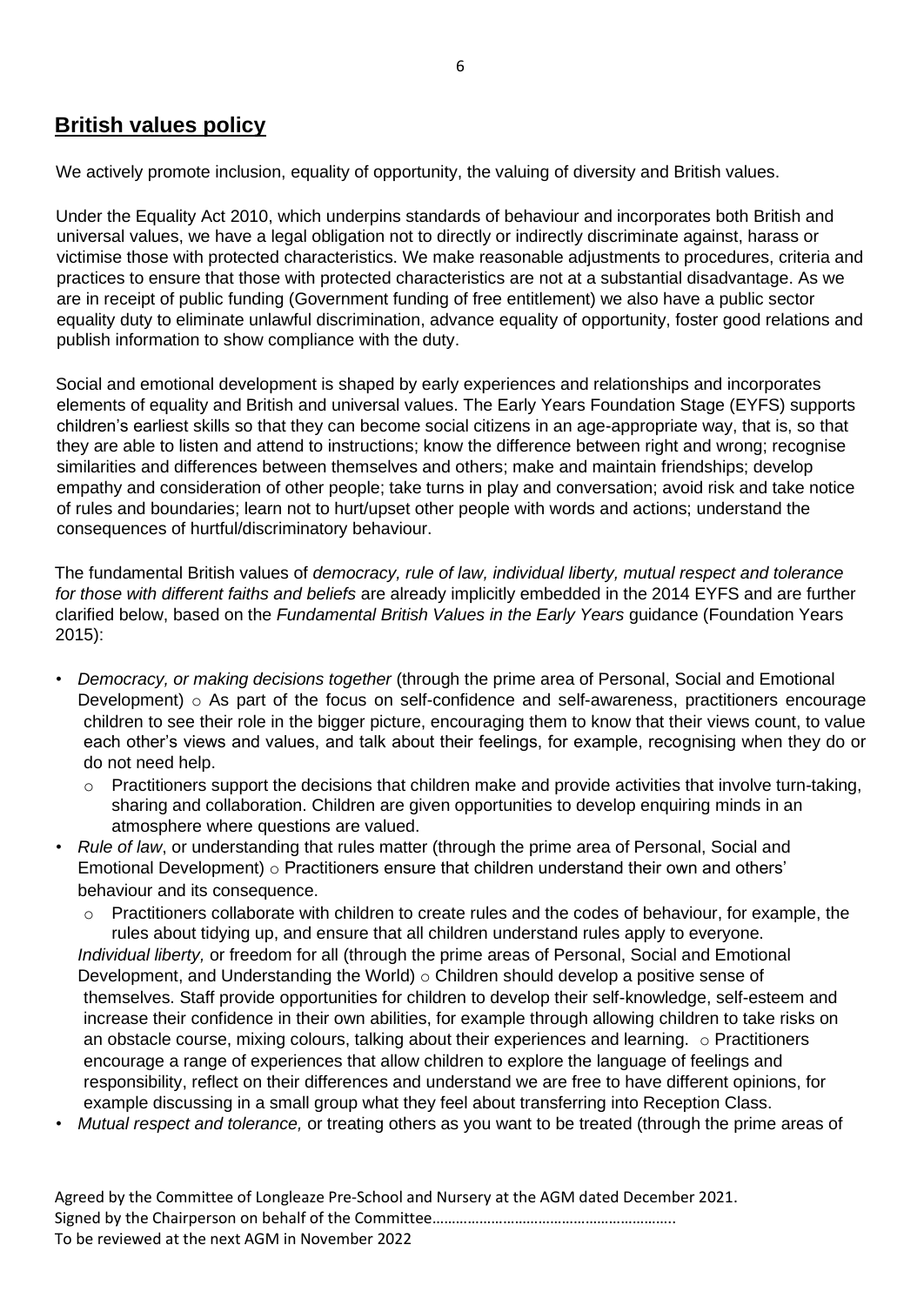## **British values policy**

We actively promote inclusion, equality of opportunity, the valuing of diversity and British values.

Under the Equality Act 2010, which underpins standards of behaviour and incorporates both British and universal values, we have a legal obligation not to directly or indirectly discriminate against, harass or victimise those with protected characteristics. We make reasonable adjustments to procedures, criteria and practices to ensure that those with protected characteristics are not at a substantial disadvantage. As we are in receipt of public funding (Government funding of free entitlement) we also have a public sector equality duty to eliminate unlawful discrimination, advance equality of opportunity, foster good relations and publish information to show compliance with the duty.

Social and emotional development is shaped by early experiences and relationships and incorporates elements of equality and British and universal values. The Early Years Foundation Stage (EYFS) supports children's earliest skills so that they can become social citizens in an age-appropriate way, that is, so that they are able to listen and attend to instructions; know the difference between right and wrong; recognise similarities and differences between themselves and others; make and maintain friendships; develop empathy and consideration of other people; take turns in play and conversation; avoid risk and take notice of rules and boundaries; learn not to hurt/upset other people with words and actions; understand the consequences of hurtful/discriminatory behaviour.

The fundamental British values of *democracy, rule of law, individual liberty, mutual respect and tolerance for those with different faiths and beliefs* are already implicitly embedded in the 2014 EYFS and are further clarified below, based on the *Fundamental British Values in the Early Years* guidance (Foundation Years 2015):

- *Democracy, or making decisions together* (through the prime area of Personal, Social and Emotional Development)  $\circ$  As part of the focus on self-confidence and self-awareness, practitioners encourage children to see their role in the bigger picture, encouraging them to know that their views count, to value each other's views and values, and talk about their feelings, for example, recognising when they do or do not need help.
	- o Practitioners support the decisions that children make and provide activities that involve turn-taking, sharing and collaboration. Children are given opportunities to develop enquiring minds in an atmosphere where questions are valued.
- *Rule of law*, or understanding that rules matter (through the prime area of Personal, Social and Emotional Development) o Practitioners ensure that children understand their own and others' behaviour and its consequence.
	- $\circ$  Practitioners collaborate with children to create rules and the codes of behaviour, for example, the rules about tidying up, and ensure that all children understand rules apply to everyone. *Individual liberty,* or freedom for all (through the prime areas of Personal, Social and Emotional Development, and Understanding the World)  $\circ$  Children should develop a positive sense of themselves. Staff provide opportunities for children to develop their self-knowledge, self-esteem and increase their confidence in their own abilities, for example through allowing children to take risks on an obstacle course, mixing colours, talking about their experiences and learning. o Practitioners encourage a range of experiences that allow children to explore the language of feelings and responsibility, reflect on their differences and understand we are free to have different opinions, for example discussing in a small group what they feel about transferring into Reception Class.
- *Mutual respect and tolerance,* or treating others as you want to be treated (through the prime areas of

Agreed by the Committee of Longleaze Pre-School and Nursery at the AGM dated December 2021. Signed by the Chairperson on behalf of the Committee…………………………………………………….. To be reviewed at the next AGM in November 2022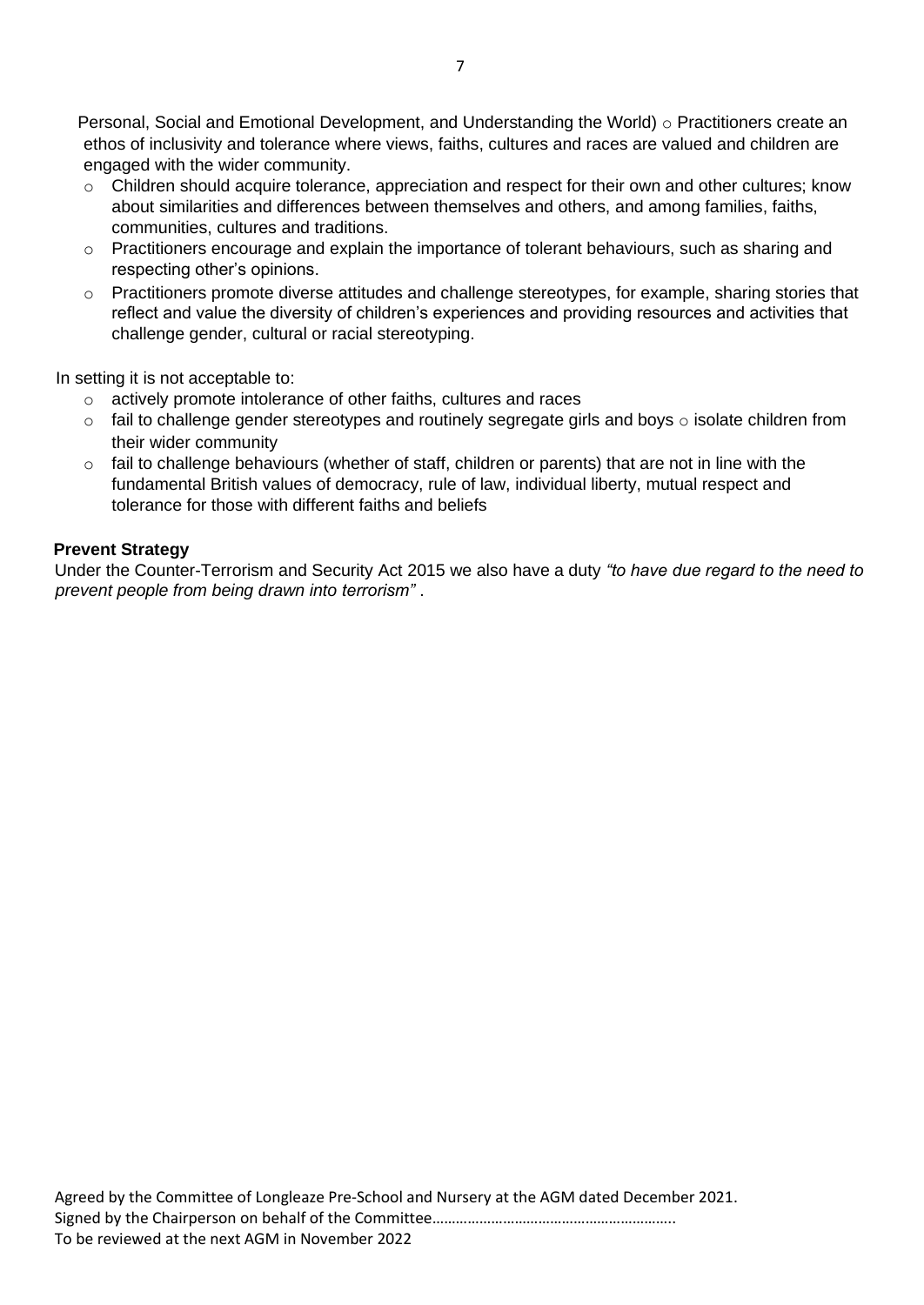Personal, Social and Emotional Development, and Understanding the World)  $\circ$  Practitioners create an ethos of inclusivity and tolerance where views, faiths, cultures and races are valued and children are engaged with the wider community.

- $\circ$  Children should acquire tolerance, appreciation and respect for their own and other cultures; know about similarities and differences between themselves and others, and among families, faiths, communities, cultures and traditions.
- $\circ$  Practitioners encourage and explain the importance of tolerant behaviours, such as sharing and respecting other's opinions.
- o Practitioners promote diverse attitudes and challenge stereotypes, for example, sharing stories that reflect and value the diversity of children's experiences and providing resources and activities that challenge gender, cultural or racial stereotyping.

In setting it is not acceptable to:

- o actively promote intolerance of other faiths, cultures and races
- $\circ$  fail to challenge gender stereotypes and routinely segregate girls and boys  $\circ$  isolate children from their wider community
- o fail to challenge behaviours (whether of staff, children or parents) that are not in line with the fundamental British values of democracy, rule of law, individual liberty, mutual respect and tolerance for those with different faiths and beliefs

#### **Prevent Strategy**

Under the Counter-Terrorism and Security Act 2015 we also have a duty *"to have due regard to the need to prevent people from being drawn into terrorism"* .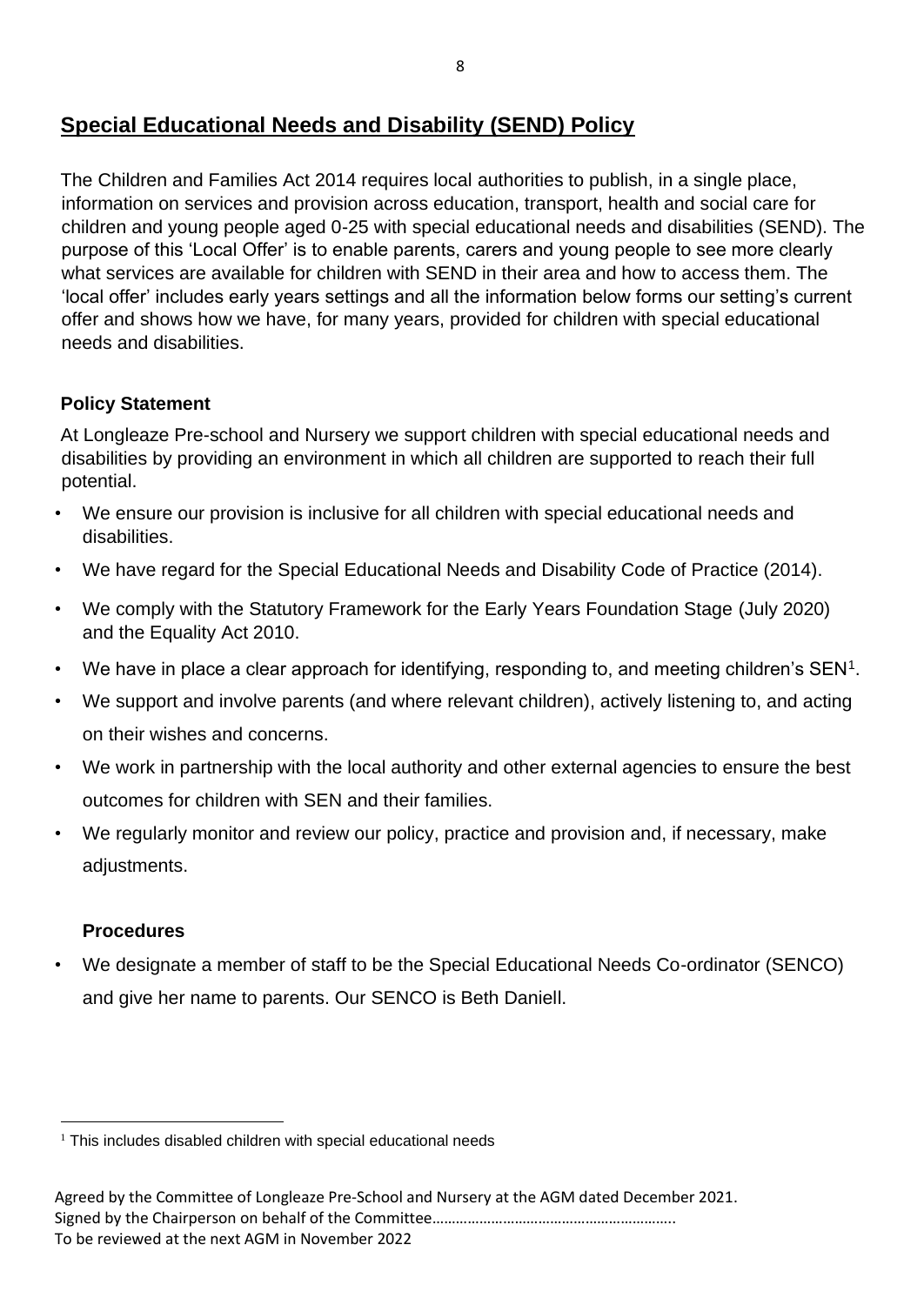## **Special Educational Needs and Disability (SEND) Policy**

The Children and Families Act 2014 requires local authorities to publish, in a single place, information on services and provision across education, transport, health and social care for children and young people aged 0-25 with special educational needs and disabilities (SEND). The purpose of this 'Local Offer' is to enable parents, carers and young people to see more clearly what services are available for children with SEND in their area and how to access them. The 'local offer' includes early years settings and all the information below forms our setting's current offer and shows how we have, for many years, provided for children with special educational needs and disabilities.

## **Policy Statement**

At Longleaze Pre-school and Nursery we support children with special educational needs and disabilities by providing an environment in which all children are supported to reach their full potential.

- We ensure our provision is inclusive for all children with special educational needs and disabilities.
- We have regard for the Special Educational Needs and Disability Code of Practice (2014).
- We comply with the Statutory Framework for the Early Years Foundation Stage (July 2020) and the Equality Act 2010.
- We have in place a clear approach for identifying, responding to, and meeting children's  $SEN<sup>1</sup>$ .
- We support and involve parents (and where relevant children), actively listening to, and acting on their wishes and concerns.
- We work in partnership with the local authority and other external agencies to ensure the best outcomes for children with SEN and their families.
- We regularly monitor and review our policy, practice and provision and, if necessary, make adjustments.

## **Procedures**

• We designate a member of staff to be the Special Educational Needs Co-ordinator (SENCO) and give her name to parents. Our SENCO is Beth Daniell.

 $1$  This includes disabled children with special educational needs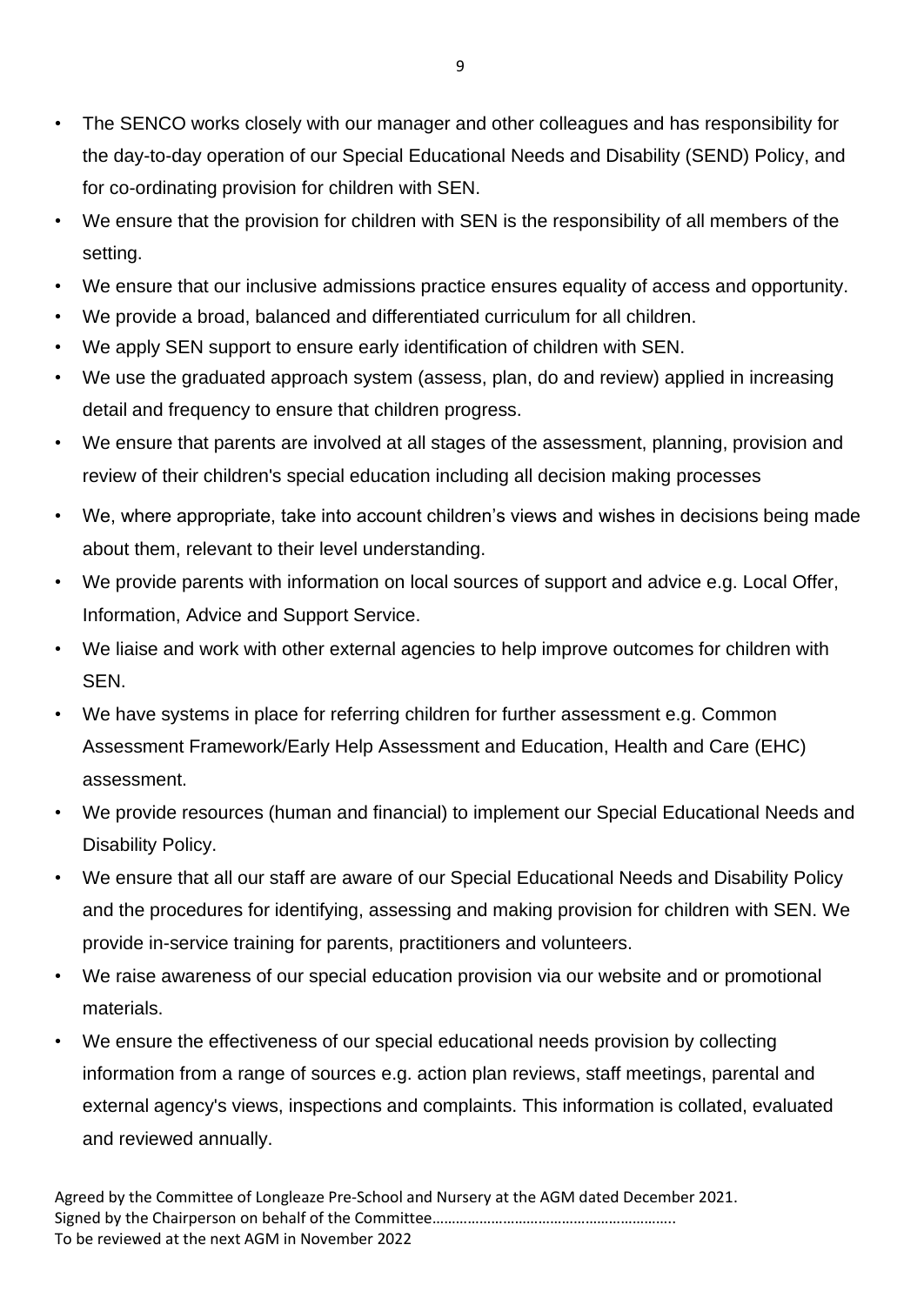- The SENCO works closely with our manager and other colleagues and has responsibility for the day-to-day operation of our Special Educational Needs and Disability (SEND) Policy, and for co-ordinating provision for children with SEN.
- We ensure that the provision for children with SEN is the responsibility of all members of the setting.
- We ensure that our inclusive admissions practice ensures equality of access and opportunity.
- We provide a broad, balanced and differentiated curriculum for all children.
- We apply SEN support to ensure early identification of children with SEN.
- We use the graduated approach system (assess, plan, do and review) applied in increasing detail and frequency to ensure that children progress.
- We ensure that parents are involved at all stages of the assessment, planning, provision and review of their children's special education including all decision making processes
- We, where appropriate, take into account children's views and wishes in decisions being made about them, relevant to their level understanding.
- We provide parents with information on local sources of support and advice e.g. Local Offer, Information, Advice and Support Service.
- We liaise and work with other external agencies to help improve outcomes for children with SEN.
- We have systems in place for referring children for further assessment e.g. Common Assessment Framework/Early Help Assessment and Education, Health and Care (EHC) assessment.
- We provide resources (human and financial) to implement our Special Educational Needs and Disability Policy.
- We ensure that all our staff are aware of our Special Educational Needs and Disability Policy and the procedures for identifying, assessing and making provision for children with SEN. We provide in-service training for parents, practitioners and volunteers.
- We raise awareness of our special education provision via our website and or promotional materials.
- We ensure the effectiveness of our special educational needs provision by collecting information from a range of sources e.g. action plan reviews, staff meetings, parental and external agency's views, inspections and complaints. This information is collated, evaluated and reviewed annually.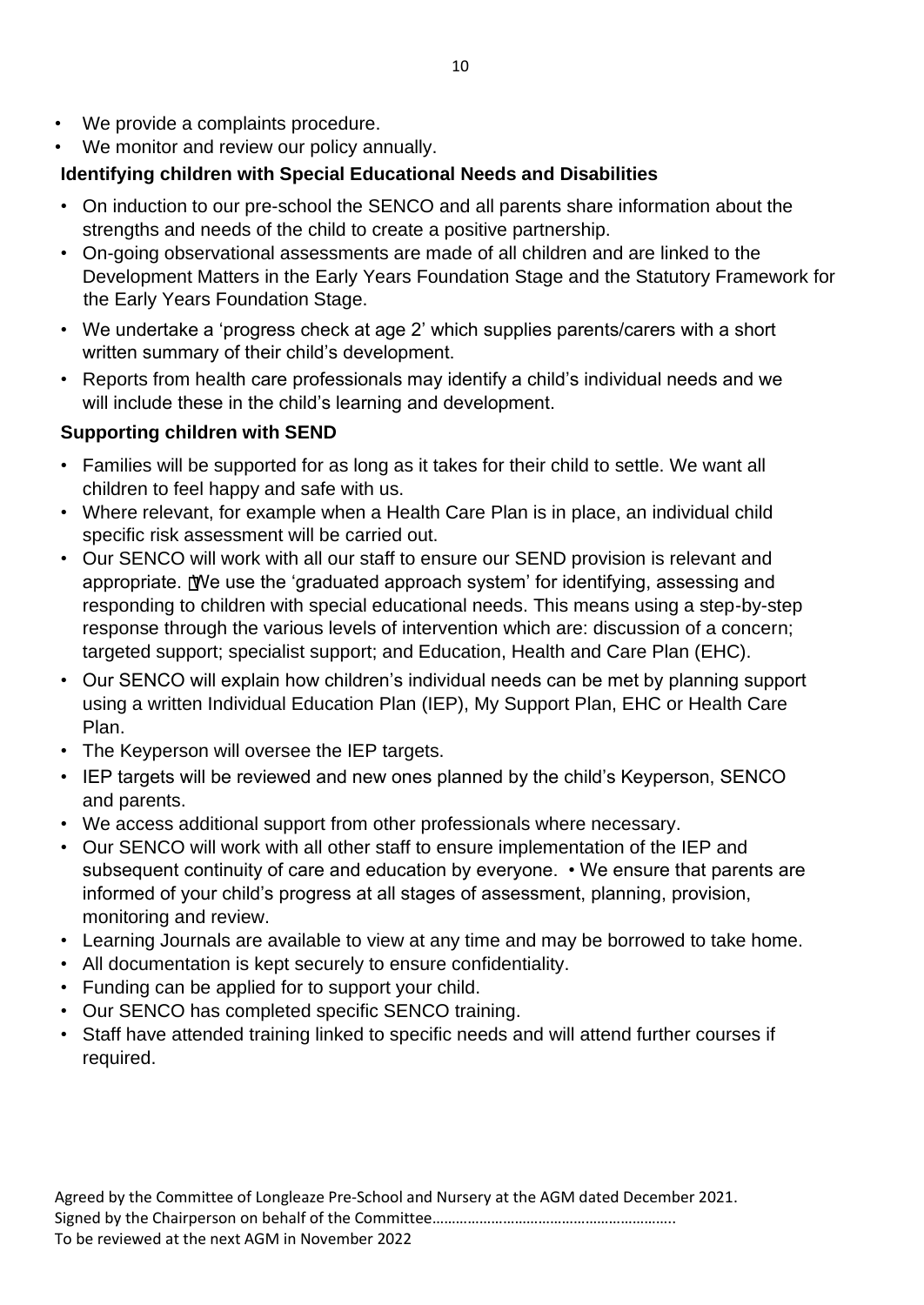- We provide a complaints procedure.
- We monitor and review our policy annually.

## **Identifying children with Special Educational Needs and Disabilities**

- On induction to our pre-school the SENCO and all parents share information about the strengths and needs of the child to create a positive partnership.
- On-going observational assessments are made of all children and are linked to the Development Matters in the Early Years Foundation Stage and the Statutory Framework for the Early Years Foundation Stage.
- We undertake a 'progress check at age 2' which supplies parents/carers with a short written summary of their child's development.
- Reports from health care professionals may identify a child's individual needs and we will include these in the child's learning and development.

## **Supporting children with SEND**

- Families will be supported for as long as it takes for their child to settle. We want all children to feel happy and safe with us.
- Where relevant, for example when a Health Care Plan is in place, an individual child specific risk assessment will be carried out.
- Our SENCO will work with all our staff to ensure our SEND provision is relevant and appropriate. We use the 'graduated approach system' for identifying, assessing and responding to children with special educational needs. This means using a step-by-step response through the various levels of intervention which are: discussion of a concern; targeted support; specialist support; and Education, Health and Care Plan (EHC).
- Our SENCO will explain how children's individual needs can be met by planning support using a written Individual Education Plan (IEP), My Support Plan, EHC or Health Care Plan.
- The Keyperson will oversee the IEP targets.
- IEP targets will be reviewed and new ones planned by the child's Keyperson, SENCO and parents.
- We access additional support from other professionals where necessary.
- Our SENCO will work with all other staff to ensure implementation of the IEP and subsequent continuity of care and education by everyone. • We ensure that parents are informed of your child's progress at all stages of assessment, planning, provision, monitoring and review.
- Learning Journals are available to view at any time and may be borrowed to take home.
- All documentation is kept securely to ensure confidentiality.
- Funding can be applied for to support your child.
- Our SENCO has completed specific SENCO training.
- Staff have attended training linked to specific needs and will attend further courses if required.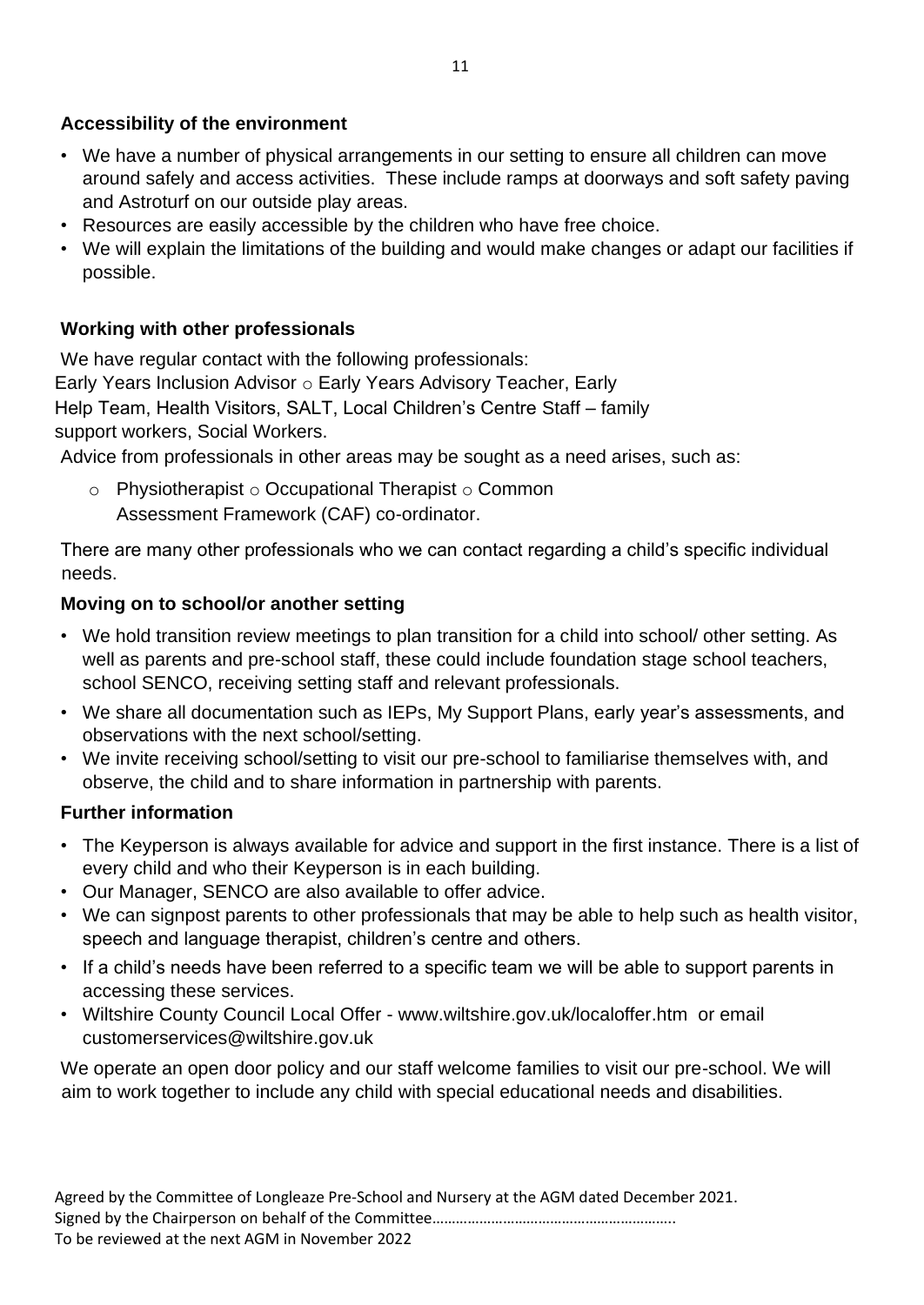## **Accessibility of the environment**

- We have a number of physical arrangements in our setting to ensure all children can move around safely and access activities. These include ramps at doorways and soft safety paving and Astroturf on our outside play areas.
- Resources are easily accessible by the children who have free choice.
- We will explain the limitations of the building and would make changes or adapt our facilities if possible.

## **Working with other professionals**

We have regular contact with the following professionals: Early Years Inclusion Advisor o Early Years Advisory Teacher, Early Help Team, Health Visitors, SALT, Local Children's Centre Staff – family support workers, Social Workers.

Advice from professionals in other areas may be sought as a need arises, such as:

 $\circ$  Physiotherapist  $\circ$  Occupational Therapist  $\circ$  Common Assessment Framework (CAF) co-ordinator.

There are many other professionals who we can contact regarding a child's specific individual needs.

## **Moving on to school/or another setting**

- We hold transition review meetings to plan transition for a child into school/ other setting. As well as parents and pre-school staff, these could include foundation stage school teachers, school SENCO, receiving setting staff and relevant professionals.
- We share all documentation such as IEPs, My Support Plans, early year's assessments, and observations with the next school/setting.
- We invite receiving school/setting to visit our pre-school to familiarise themselves with, and observe, the child and to share information in partnership with parents.

## **Further information**

- The Keyperson is always available for advice and support in the first instance. There is a list of every child and who their Keyperson is in each building.
- Our Manager, SENCO are also available to offer advice.
- We can signpost parents to other professionals that may be able to help such as health visitor, speech and language therapist, children's centre and others.
- If a child's needs have been referred to a specific team we will be able to support parents in accessing these services.
- Wiltshire County Council Local Offer [-](http://www.wiltshire.gov.uk/localoffer.htm) [www.wiltshire.gov.uk/localoffer.htm o](http://www.wiltshire.gov.uk/localoffer.htm)r email customerservices@wiltshire.gov.uk

We operate an open door policy and our staff welcome families to visit our pre-school. We will aim to work together to include any child with special educational needs and disabilities.